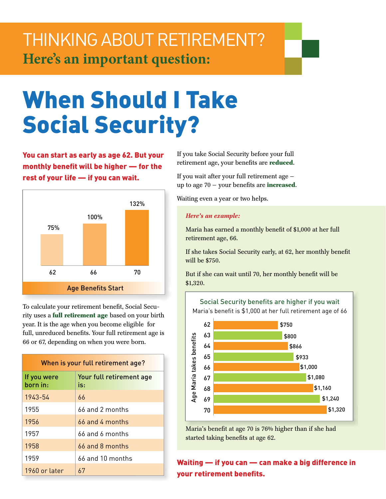# THINKING ABOUT RETIREMENT?<br>Here's an important question:

## When Should I Take Social Security?

You can start as early as age 62. But your monthly benefit will be higher — for the rest of your life — if you can wait.



To calculate your retirement benefit, Social Security uses a **full retirement age** based on your birth year. It is the age when you become eligible for full, unreduced benefits. Your full retirement age is 66 or 67, depending on when you were born.

| When is your full retirement age? |                                 |
|-----------------------------------|---------------------------------|
| If you were<br>born in:           | Your full retirement age<br>is: |
| 1943-54                           | 66                              |
| 1955                              | 66 and 2 months                 |
| 1956                              | $66$ and 4 months               |
| 1957                              | 66 and 6 months                 |
| 1958                              | 66 and 8 months                 |
| 1959                              | $66$ and 10 months              |
| 1960 or later                     | 67                              |

If you take Social Security before your full retirement age, your benefits are **reduced**.

If you wait after your full retirement age up to age 70 — your benefits are **increased**.

Waiting even a year or two helps.

## *Here's an example:*

Maria has earned a monthly benefit of \$1,000 at her full retirement age, 66.

If she takes Social Security early, at 62, her monthly benefit will be \$750.

But if she can wait until 70, her monthly benefit will be \$1,320.



Maria's benefit at age 70 is 76% higher than if she had started taking benefits at age 62.

Waiting — if you can — can make a big difference in your retirement benefits.